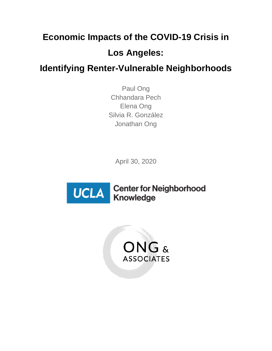# **Economic Impacts of the COVID-19 Crisis in Los Angeles:**

**Identifying Renter-Vulnerable Neighborhoods**

Paul Ong Chhandara Pech Elena Ong Silvia R. González Jonathan Ong

April 30, 2020



**Center for Neighborhood** Knowledge

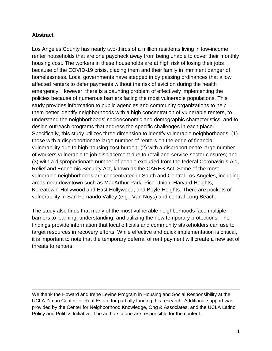#### **Abstract**

Los Angeles County has nearly two-thirds of a million residents living in low-income renter households that are one paycheck away from being unable to cover their monthly housing cost. The workers in these households are at high risk of losing their jobs because of the COVID-19 crisis, placing them and their family in imminent danger of homelessness. Local governments have stepped in by passing ordinances that allow affected renters to defer payments without the risk of eviction during the health emergency. However, there is a daunting problem of effectively implementing the policies because of numerous barriers facing the most vulnerable populations. This study provides information to public agencies and community organizations to help them better identify neighborhoods with a high concentration of vulnerable renters, to understand the neighborhoods' socioeconomic and demographic characteristics, and to design outreach programs that address the specific challenges in each place. Specifically, this study utilizes three dimension to identify vulnerable neighborhoods: (1) those with a disproportionate large number of renters on the edge of financial vulnerability due to high housing cost burden; (2) with a disproportionate large number of workers vulnerable to job displacement due to retail and service-sector closures; and (3) with a disproportionate number of people excluded from the federal Coronavirus Aid, Relief and Economic Security Act, known as the CARES Act. Some of the most vulnerable neighborhoods are concentrated in South and Central Los Angeles, including areas near downtown such as MacArthur Park, Pico-Union, Harvard Heights, Koreatown, Hollywood and East Hollywood, and Boyle Heights. There are pockets of vulnerability in San Fernando Valley (e.g., Van Nuys) and central Long Beach.

The study also finds that many of the most vulnerable neighborhoods face multiple barriers to learning, understanding, and utilizing the new temporary protections. The findings provide information that local officials and community stakeholders can use to target resources in recovery efforts. While effective and quick implementation is critical, it is important to note that the temporary deferral of rent payment will create a new set of threats to renters.

We thank the Howard and Irene Levine Program in Housing and Social Responsibility at the UCLA Ziman Center for Real Estate for partially funding this research. Additional support was provided by the Center for Neighborhood Knowledge, Ong & Associates, and the UCLA Latino Policy and Politics Initiative. The authors alone are responsible for the content.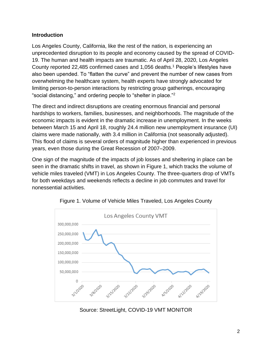## **Introduction**

Los Angeles County, California, like the rest of the nation, is experiencing an unprecedented disruption to its people and economy caused by the spread of COVID-19. The human and health impacts are traumatic. As of April 28, 2020, Los Angeles County reported 22,485 confirmed cases and 1,056 deaths. <sup>1</sup> People's lifestyles have also been upended. To "flatten the curve" and prevent the number of new cases from overwhelming the healthcare system, health experts have strongly advocated for limiting person-to-person interactions by restricting group gatherings, encouraging "social distancing," and ordering people to "shelter in place."<sup>2</sup>

The direct and indirect disruptions are creating enormous financial and personal hardships to workers, families, businesses, and neighborhoods. The magnitude of the economic impacts is evident in the dramatic increase in unemployment. In the weeks between March 15 and April 18, roughly 24.4 million new unemployment insurance (UI) claims were made nationally, with 3.4 million in California (not seasonally adjusted). This flood of claims is several orders of magnitude higher than experienced in previous years, even those during the Great Recession of 2007–2009.

One sign of the magnitude of the impacts of job losses and sheltering in place can be seen in the dramatic shifts in travel, as shown in Figure 1, which tracks the volume of vehicle miles traveled (VMT) in Los Angeles County. The three-quarters drop of VMTs for both weekdays and weekends reflects a decline in job commutes and travel for nonessential activities.



Figure 1. Volume of Vehicle Miles Traveled, Los Angeles County

Source: StreetLight, COVID-19 VMT MONITOR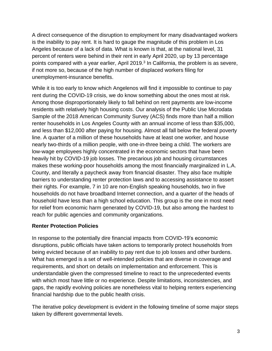A direct consequence of the disruption to employment for many disadvantaged workers is the inability to pay rent. It is hard to gauge the magnitude of this problem in Los Angeles because of a lack of data. What is known is that, at the national level, 31 percent of renters were behind in their rent in early April 2020, up by 13 percentage points compared with a year earlier, April 2019.<sup>3</sup> In California, the problem is as severe, if not more so, because of the high number of displaced workers filing for unemployment-insurance benefits.

While it is too early to know which Angelenos will find it impossible to continue to pay rent during the COVID-19 crisis, we do know something about the ones most at risk. Among those disproportionately likely to fall behind on rent payments are low-income residents with relatively high housing costs. Our analysis of the Public Use Microdata Sample of the 2018 American Community Survey (ACS) finds more than half a million renter households in Los Angeles County with an annual income of less than \$35,000, and less than \$12,000 after paying for housing. Almost all fall below the federal poverty line. A quarter of a million of these households have at least one worker, and house nearly two-thirds of a million people, with one-in-three being a child. The workers are low-wage employees highly concentrated in the economic sectors that have been heavily hit by COVID-19 job losses. The precarious job and housing circumstances makes these working-poor households among the most financially marginalized in L.A. County, and literally a paycheck away from financial disaster. They also face multiple barriers to understanding renter protection laws and to accessing assistance to assert their rights. For example, 7 in 10 are non-English speaking households, two in five households do not have broadband Internet connection, and a quarter of the heads of household have less than a high school education. This group is the one in most need for relief from economic harm generated by COVID-19, but also among the hardest to reach for public agencies and community organizations.

#### **Renter Protection Policies**

In response to the potentially dire financial impacts from COVID-19's economic disruptions, public officials have taken actions to temporarily protect households from being evicted because of an inability to pay rent due to job losses and other burdens. What has emerged is a set of well-intended policies that are diverse in coverage and requirements, and short on details on implementation and enforcement. This is understandable given the compressed timeline to react to the unprecedented events with which most have little or no experience. Despite limitations, inconsistencies, and gaps, the rapidly evolving policies are nonetheless vital to helping renters experiencing financial hardship due to the public health crisis.

The iterative policy development is evident in the following timeline of some major steps taken by different governmental levels.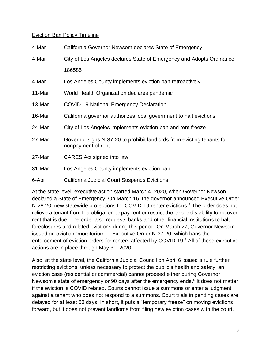#### Eviction Ban Policy Timeline

| 4-Mar  | California Governor Newsom declares State of Emergency                                       |
|--------|----------------------------------------------------------------------------------------------|
| 4-Mar  | City of Los Angeles declares State of Emergency and Adopts Ordinance                         |
|        | 186585                                                                                       |
| 4-Mar  | Los Angeles County implements eviction ban retroactively                                     |
| 11-Mar | World Health Organization declares pandemic                                                  |
| 13-Mar | <b>COVID-19 National Emergency Declaration</b>                                               |
| 16-Mar | California governor authorizes local government to halt evictions                            |
| 24-Mar | City of Los Angeles implements eviction ban and rent freeze                                  |
| 27-Mar | Governor signs N-37-20 to prohibit landlords from evicting tenants for<br>nonpayment of rent |
| 27-Mar | CARES Act signed into law                                                                    |
| 31-Mar | Los Angeles County implements eviction ban                                                   |
| 6-Apr  | <b>California Judicial Court Suspends Evictions</b>                                          |

At the state level, executive action started March 4, 2020, when Governor Newson declared a State of Emergency. On March 16, the governor announced Executive Order N-28-20, new statewide protections for COVID-19 renter evictions.<sup>4</sup> The order does not relieve a tenant from the obligation to pay rent or restrict the landlord's ability to recover rent that is due. The order also requests banks and other financial institutions to halt foreclosures and related evictions during this period. On March 27, Governor Newsom issued an eviction "moratorium" – Executive Order N-37-20, which bans the enforcement of eviction orders for renters affected by COVID-19.<sup>5</sup> All of these executive actions are in place through May 31, 2020.

Also, at the state level, the California Judicial Council on April 6 issued a rule further restricting evictions: unless necessary to protect the public's health and safety, an eviction case (residential or commercial) cannot proceed either during Governor Newsom's state of emergency or 90 days after the emergency ends.<sup>6</sup> It does not matter if the eviction is COVID related. Courts cannot issue a summons or enter a judgment against a tenant who does not respond to a summons. Court trials in pending cases are delayed for at least 60 days. In short, it puts a "temporary freeze" on moving evictions forward, but it does not prevent landlords from filing new eviction cases with the court.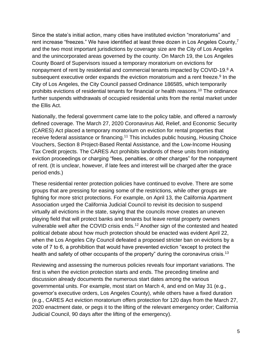Since the state's initial action, many cities have instituted eviction "moratoriums" and rent increase "freezes." We have identified at least three dozen in Los Angeles County,<sup>7</sup> and the two most important jurisdictions by coverage size are the City of Los Angeles and the unincorporated areas governed by the county. On March 19, the Los Angeles County Board of Supervisors issued a temporary moratorium on evictions for nonpayment of rent by residential and commercial tenants impacted by COVID-19.<sup>8</sup> A subsequent executive order expands the eviction moratorium and a rent freeze.<sup>9</sup> In the City of Los Angeles, the City Council passed Ordinance 186585, which temporarily prohibits evictions of residential tenants for financial or health reasons.<sup>10</sup> The ordinance further suspends withdrawals of occupied residential units from the rental market under the Ellis Act.

Nationally, the federal government came late to the policy table, and offered a narrowly defined coverage. The March 27, 2020 Coronavirus Aid, Relief, and Economic Security (CARES) Act placed a temporary moratorium on eviction for rental properties that receive federal assistance or financing.<sup>11</sup> This includes public housing, Housing Choice Vouchers, Section 8 Project-Based Rental Assistance, and the Low-Income Housing Tax Credit projects. The CARES Act prohibits landlords of these units from initiating eviction proceedings or charging "fees, penalties, or other charges" for the nonpayment of rent. (It is unclear, however, if late fees and interest will be charged after the grace period ends.)

These residential renter protection policies have continued to evolve. There are some groups that are pressing for easing some of the restrictions, while other groups are fighting for more strict protections. For example, on April 13, the California Apartment Association urged the California Judicial Council to revisit its decision to suspend virtually all evictions in the state, saying that the councils move creates an uneven playing field that will protect banks and tenants but leave rental property owners vulnerable well after the COVID crisis ends.<sup>12</sup> Another sign of the contested and heated political debate about how much protection should be enacted was evident April 22, when the Los Angeles City Council defeated a proposed stricter ban on evictions by a vote of 7 to 6, a prohibition that would have prevented eviction "except to protect the health and safety of other occupants of the property" during the coronavirus crisis.<sup>13</sup>

Reviewing and assessing the numerous policies reveals four important variations. The first is when the eviction protection starts and ends. The preceding timeline and discussion already documents the numerous start dates among the various governmental units. For example, most start on March 4, and end on May 31 (e.g., governor's executive orders, Los Angeles County), while others have a fixed duration (e.g., CARES Act eviction moratorium offers protection for 120 days from the March 27, 2020 enactment date, or pegs it to the lifting of the relevant emergency order; California Judicial Council, 90 days after the lifting of the emergency).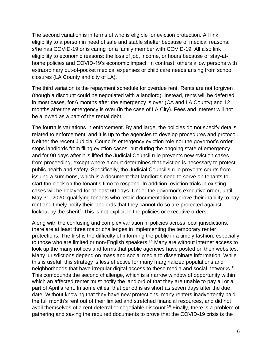The second variation is in terms of who is eligible for eviction protection. All link eligibility to a person in need of safe and stable shelter because of medical reasons: s/he has COVID-19 or is caring for a family member with COVID-19. All also link eligibility to economic reasons: the loss of job, income, or hours because of stay-athome policies and COVID-19's economic impact. In contrast, others allow persons with extraordinary out-of-pocket medical expenses or child care needs arising from school closures (LA County and city of LA).

The third variation is the repayment schedule for overdue rent. Rents are not forgiven (though a discount could be negotiated with a landlord). Instead, rents will be deferred in most cases, for 6 months after the emergency is over (CA and LA County) and 12 months after the emergency is over (in the case of LA City). Fees and interest will not be allowed as a part of the rental debt.

The fourth is variations in enforcement. By and large, the policies do not specify details related to enforcement, and it is up to the agencies to develop procedures and protocol. Neither the recent Judicial Council's emergency eviction role nor the governor's order stops landlords from filing eviction cases, but during the ongoing state of emergency and for 90 days after it is lifted the Judicial Council rule prevents new eviction cases from proceeding, except where a court determines that eviction is necessary to protect public health and safety. Specifically, the Judicial Council's rule prevents courts from issuing a summons, which is a document that landlords need to serve on tenants to start the clock on the tenant's time to respond. In addition, eviction trials in existing cases will be delayed for at least 60 days. Under the governor's executive order, until May 31, 2020, qualifying tenants who retain documentation to prove their inability to pay rent and timely notify their landlords that they cannot do so are protected against lockout by the sheriff. This is not explicit in the policies or executive orders.

Along with the confusing and complex variation in policies across local jurisdictions, there are at least three major challenges in implementing the temporary renter protections. The first is the difficulty of informing the public in a timely fashion, especially to those who are limited or non-English speakers. <sup>14</sup> Many are without internet access to look up the many notices and forms that public agencies have posted on their websites. Many jurisdictions depend on mass and social media to disseminate information. While this is useful, this strategy is less effective for many marginalized populations and neighborhoods that have irregular digital access to these media and social networks.<sup>15</sup> This compounds the second challenge, which is a narrow window of opportunity within which an affected renter must notify the landlord of that they are unable to pay all or a part of April's rent. In some cities, that period is as short as seven days after the due date. Without knowing that they have new protections, many renters inadvertently paid the full month's rent out of their limited and stretched financial resources, and did not avail themselves of a rent deferral or negotiable discount.<sup>16</sup> Finally, there is a problem of gathering and saving the required documents to prove that the COVID-19 crisis is the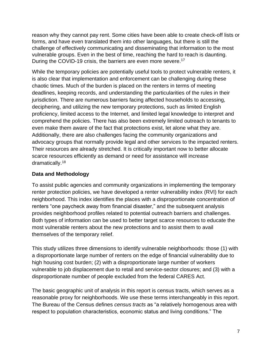reason why they cannot pay rent. Some cities have been able to create check-off lists or forms, and have even translated them into other languages, but there is still the challenge of effectively communicating and disseminating that information to the most vulnerable groups. Even in the best of time, reaching the hard to reach is daunting. During the COVID-19 crisis, the barriers are even more severe.<sup>17</sup>

While the temporary policies are potentially useful tools to protect vulnerable renters, it is also clear that implementation and enforcement can be challenging during these chaotic times. Much of the burden is placed on the renters in terms of meeting deadlines, keeping records, and understanding the particularities of the rules in their jurisdiction. There are numerous barriers facing affected households to accessing, deciphering, and utilizing the new temporary protections, such as limited English proficiency, limited access to the Internet, and limited legal knowledge to interpret and comprehend the policies. There has also been extremely limited outreach to tenants to even make them aware of the fact that protections exist, let alone what they are. Additionally, there are also challenges facing the community organizations and advocacy groups that normally provide legal and other services to the impacted renters. Their resources are already stretched. It is critically important now to better allocate scarce resources efficiently as demand or need for assistance will increase dramatically.<sup>18</sup>

# **Data and Methodology**

To assist public agencies and community organizations in implementing the temporary renter protection policies, we have developed a renter vulnerability index (RVI) for each neighborhood. This index identifies the places with a disproportionate concentration of renters "one paycheck away from financial disaster," and the subsequent analysis provides neighborhood profiles related to potential outreach barriers and challenges. Both types of information can be used to better target scarce resources to educate the most vulnerable renters about the new protections and to assist them to avail themselves of the temporary relief.

This study utilizes three dimensions to identify vulnerable neighborhoods: those (1) with a disproportionate large number of renters on the edge of financial vulnerability due to high housing cost burden; (2) with a disproportionate large number of workers vulnerable to job displacement due to retail and service-sector closures; and (3) with a disproportionate number of people excluded from the federal CARES Act.

The basic geographic unit of analysis in this report is census tracts, which serves as a reasonable proxy for neighborhoods. We use these terms interchangeably in this report. The Bureau of the Census defines *census tracts* as "a relatively homogenous area with respect to population characteristics, economic status and living conditions." The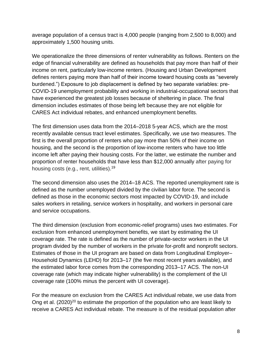average population of a census tract is 4,000 people (ranging from 2,500 to 8,000) and approximately 1,500 housing units.

We operationalize the three dimensions of renter vulnerability as follows. Renters on the edge of financial vulnerability are defined as households that pay more than half of their income on rent, particularly low-income renters. (Housing and Urban Development defines renters paying more than half of their income toward housing costs as "severely burdened.") Exposure to job displacement is defined by two separate variables: pre-COVID-19 unemployment probability and working in industrial-occupational sectors that have experienced the greatest job losses because of sheltering in place. The final dimension includes estimates of those being left because they are not eligible for CARES Act individual rebates, and enhanced unemployment benefits.

The first dimension uses data from the 2014–2018 5-year ACS, which are the most recently available census tract level estimates. Specifically, we use two measures. The first is the overall proportion of renters who pay more than 50% of their income on housing, and the second is the proportion of low-income renters who have too little income left after paying their housing costs. For the latter, we estimate the number and proportion of renter households that have less than \$12,000 annually after paying for housing costs (e.g., rent, utilities).<sup>19</sup>

The second dimension also uses the 2014–18 ACS. The reported unemployment rate is defined as the number unemployed divided by the civilian labor force. The second is defined as those in the economic sectors most impacted by COVID-19, and include sales workers in retailing, service workers in hospitality, and workers in personal care and service occupations.

The third dimension (exclusion from economic-relief programs) uses two estimates. For exclusion from enhanced unemployment benefits, we start by estimating the UI coverage rate. The rate is defined as the number of private-sector workers in the UI program divided by the number of workers in the private for-profit and nonprofit sectors. Estimates of those in the UI program are based on data from Longitudinal Employer– Household Dynamics (LEHD) for 2013–17 (the five most recent years available), and the estimated labor force comes from the corresponding 2013–17 ACS. The non-UI coverage rate (which may indicate higher vulnerability) is the complement of the UI coverage rate (100% minus the percent with UI coverage).

For the measure on exclusion from the CARES Act individual rebate, we use data from Ong et al.  $(2020)^{20}$  to estimate the proportion of the population who are least likely to receive a CARES Act individual rebate. The measure is of the residual population after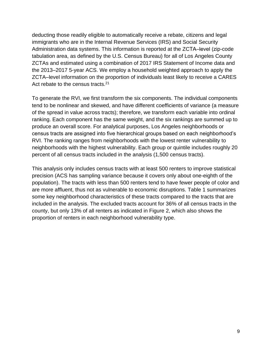deducting those readily eligible to automatically receive a rebate, citizens and legal immigrants who are in the Internal Revenue Services (IRS) and Social Security Administration data systems. This information is reported at the ZCTA-level (zip-code tabulation area, as defined by the U.S. Census Bureau) for all of Los Angeles County ZCTAs and estimated using a combination of 2017 IRS Statement of Income data and the 2013–2017 5-year ACS. We employ a household weighted approach to apply the ZCTA–level information on the proportion of individuals least likely to receive a CARES Act rebate to the census tracts.<sup>21</sup>

To generate the RVI, we first transform the six components. The individual components tend to be nonlinear and skewed, and have different coefficients of variance (a measure of the spread in value across tracts); therefore, we transform each variable into ordinal ranking. Each component has the same weight, and the six rankings are summed up to produce an overall score. For analytical purposes, Los Angeles neighborhoods or census tracts are assigned into five hierarchical groups based on each neighborhood's RVI. The ranking ranges from neighborhoods with the lowest renter vulnerability to neighborhoods with the highest vulnerability. Each group or quintile includes roughly 20 percent of all census tracts included in the analysis (1,500 census tracts).

This analysis only includes census tracts with at least 500 renters to improve statistical precision (ACS has sampling variance because it covers only about one-eighth of the population). The tracts with less than 500 renters tend to have fewer people of color and are more affluent, thus not as vulnerable to economic disruptions. Table 1 summarizes some key neighborhood characteristics of these tracts compared to the tracts that are included in the analysis. The excluded tracts account for 36% of all census tracts in the county, but only 13% of all renters as indicated in Figure 2, which also shows the proportion of renters in each neighborhood vulnerability type.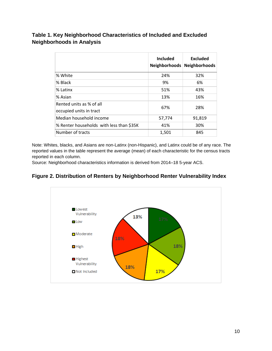# **Table 1. Key Neighborhood Characteristics of Included and Excluded Neighborhoods in Analysis**

|                                                     | <b>Included</b><br><b>Neighborhoods</b> | <b>Excluded</b><br><b>Neighborhoods</b> |
|-----------------------------------------------------|-----------------------------------------|-----------------------------------------|
| % White                                             | 24%                                     | 32%                                     |
| % Black                                             | 9%                                      | 6%                                      |
| % Latinx                                            | 51%                                     | 43%                                     |
| % Asian                                             | 13%                                     | 16%                                     |
| Rented units as % of all<br>occupied units in tract | 67%                                     | 28%                                     |
| Median household income                             | 57,774                                  | 91,819                                  |
| % Renter households with less than \$35K            | 41%                                     | 30%                                     |
| Number of tracts                                    | 1,501                                   | 845                                     |

Note: Whites, blacks, and Asians are non-Latinx (non-Hispanic), and Latinx could be of any race. The reported values in the table represent the average (mean) of each characteristic for the census tracts reported in each column.

Source: Neighborhood characteristics information is derived from 2014–18 5-year ACS.

# **Figure 2. Distribution of Renters by Neighborhood Renter Vulnerability Index**

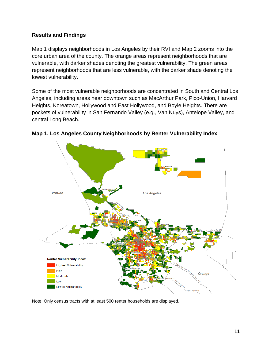## **Results and Findings**

Map 1 displays neighborhoods in Los Angeles by their RVI and Map 2 zooms into the core urban area of the county. The orange areas represent neighborhoods that are vulnerable, with darker shades denoting the greatest vulnerability. The green areas represent neighborhoods that are less vulnerable, with the darker shade denoting the lowest vulnerability.

Some of the most vulnerable neighborhoods are concentrated in South and Central Los Angeles, including areas near downtown such as MacArthur Park, Pico-Union, Harvard Heights, Koreatown, Hollywood and East Hollywood, and Boyle Heights. There are pockets of vulnerability in San Fernando Valley (e.g., Van Nuys), Antelope Valley, and central Long Beach.



**Map 1. Los Angeles County Neighborhoods by Renter Vulnerability Index**

Note: Only census tracts with at least 500 renter households are displayed.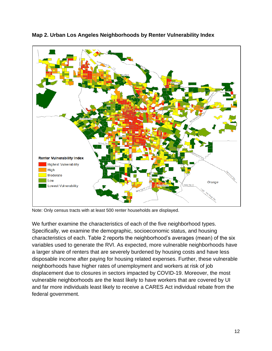

**Map 2. Urban Los Angeles Neighborhoods by Renter Vulnerability Index**

Note: Only census tracts with at least 500 renter households are displayed.

We further examine the characteristics of each of the five neighborhood types. Specifically, we examine the demographic, socioeconomic status, and housing characteristics of each. Table 2 reports the neighborhood's averages (mean) of the six variables used to generate the RVI. As expected, more vulnerable neighborhoods have a larger share of renters that are severely burdened by housing costs and have less disposable income after paying for housing related expenses. Further, these vulnerable neighborhoods have higher rates of unemployment and workers at risk of job displacement due to closures in sectors impacted by COVID-19. Moreover, the most vulnerable neighborhoods are the least likely to have workers that are covered by UI and far more individuals least likely to receive a CARES Act individual rebate from the federal government.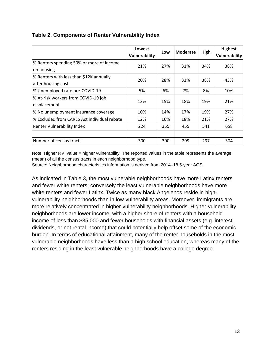|                                                               | Lowest<br>Vulnerability | Low | <b>Moderate</b> | High | <b>Highest</b><br>Vulnerability |
|---------------------------------------------------------------|-------------------------|-----|-----------------|------|---------------------------------|
| % Renters spending 50% or more of income<br>on housing        | 21%                     | 27% | 31%             | 34%  | 38%                             |
| % Renters with less than \$12K annually<br>after housing cost | 20%                     | 28% | 33%             | 38%  | 43%                             |
| % Unemployed rate pre-COVID-19                                | 5%                      | 6%  | 7%              | 8%   | 10%                             |
| % At-risk workers from COVID-19 job<br>displacement           | 13%                     | 15% | 18%             | 19%  | 21%                             |
| % No unemployment insurance coverage                          | 10%                     | 14% | 17%             | 19%  | 27%                             |
| % Excluded from CARES Act individual rebate                   | 12%                     | 16% | 18%             | 21%  | 27%                             |
| Renter Vulnerability Index                                    | 224                     | 355 | 455             | 541  | 658                             |
|                                                               |                         |     |                 |      |                                 |
| Number of census tracts                                       | 300                     | 300 | 299             | 297  | 304                             |

# **Table 2. Components of Renter Vulnerability Index**

Note: Higher RVI value = higher vulnerability. The reported values in the table represents the average (mean) of all the census tracts in each neighborhood type.

Source: Neighborhood characteristics information is derived from 2014–18 5-year ACS.

As indicated in Table 3, the most vulnerable neighborhoods have more Latinx renters and fewer white renters; conversely the least vulnerable neighborhoods have more white renters and fewer Latinx. Twice as many black Angelenos reside in highvulnerability neighborhoods than in low-vulnerability areas. Moreover, immigrants are more relatively concentrated in higher-vulnerability neighborhoods. Higher-vulnerability neighborhoods are lower income, with a higher share of renters with a household income of less than \$35,000 and fewer households with financial assets (e.g. interest, dividends, or net rental income) that could potentially help offset some of the economic burden. In terms of educational attainment, many of the renter households in the most vulnerable neighborhoods have less than a high school education, whereas many of the renters residing in the least vulnerable neighborhoods have a college degree.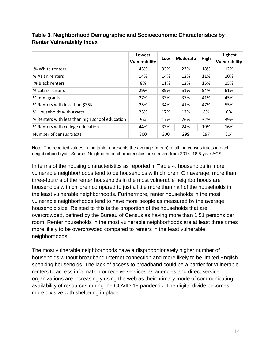|                                                | Lowest<br>Vulnerability | Low | Moderate | High | <b>Highest</b><br>Vulnerability |
|------------------------------------------------|-------------------------|-----|----------|------|---------------------------------|
| % White renters                                | 45%                     | 33% | 23%      | 18%  | 12%                             |
| % Asian renters                                | 14%                     | 14% | 12%      | 11%  | 10%                             |
| % Black renters                                | 8%                      | 11% | 12%      | 15%  | 15%                             |
| % Latinx renters                               | 29%                     | 39% | 51%      | 54%  | 61%                             |
| % Immigrants                                   | 27%                     | 33% | 37%      | 41%  | 45%                             |
| % Renters with less than \$35K                 | 25%                     | 34% | 41%      | 47%  | 55%                             |
| % Households with assets                       | 25%                     | 17% | 12%      | 8%   | 6%                              |
| % Renters with less than high school education | 9%                      | 17% | 26%      | 32%  | 39%                             |
| % Renters with college education               | 44%                     | 33% | 24%      | 19%  | 16%                             |
| Number of census tracts                        | 300                     | 300 | 299      | 297  | 304                             |

# **Table 3. Neighborhood Demographic and Socioeconomic Characteristics by Renter Vulnerability Index**

Note: The reported values in the table represents the average (mean) of all the census tracts in each neighborhood type. Source: Neighborhood characteristics are derived from 2014-18 5-year ACS.

In terms of the housing characteristics as reported in Table 4, households in more vulnerable neighborhoods tend to be households with children. On average, more than three-fourths of the renter households in the most vulnerable neighborhoods are households with children compared to just a little more than half of the households in the least vulnerable neighborhoods. Furthermore, renter households in the most vulnerable neighborhoods tend to have more people as measured by the average household size. Related to this is the proportion of the households that are overcrowded, defined by the Bureau of Census as having more than 1.51 persons per room. Renter households in the most vulnerable neighborhoods are at least three times more likely to be overcrowded compared to renters in the least vulnerable neighborhoods.

The most vulnerable neighborhoods have a disproportionately higher number of households without broadband Internet connection and more likely to be limited Englishspeaking households. The lack of access to broadband could be a barrier for vulnerable renters to access information or receive services as agencies and direct service organizations are increasingly using the web as their primary mode of communicating availability of resources during the COVID-19 pandemic. The digital divide becomes more divisive with sheltering in place.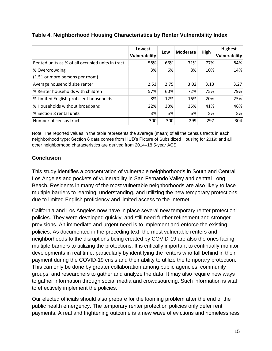|                                                  | Lowest<br>Vulnerability | Low  | <b>Moderate</b> | High | <b>Highest</b><br><b>Vulnerability</b> |
|--------------------------------------------------|-------------------------|------|-----------------|------|----------------------------------------|
| Rented units as % of all occupied units in tract | 58%                     | 66%  | 71%             | 77%  | 84%                                    |
| % Overcrowding                                   | 3%                      | 6%   | 8%              | 10%  | 14%                                    |
| (1.51 or more persons per room)                  |                         |      |                 |      |                                        |
| Average household size renter                    | 2.53                    | 2.75 | 3.02            | 3.13 | 3.27                                   |
| % Renter households with children                | 57%                     | 60%  | 72%             | 75%  | 79%                                    |
| % Limited English-proficient households          | 8%                      | 12%  | 16%             | 20%  | 25%                                    |
| % Households without broadband                   | 22%                     | 30%  | 35%             | 41%  | 46%                                    |
| % Section 8 rental units                         | 3%                      | 5%   | 6%              | 8%   | 8%                                     |
| Number of census tracts                          | 300                     | 300  | 299             | 297  | 304                                    |

# **Table 4. Neighborhood Housing Characteristics by Renter Vulnerability Index**

Note: The reported values in the table represents the average (mean) of all the census tracts in each neighborhood type; Section 8 data comes from HUD's Picture of Subsidized Housing for 2019; and all other neighborhood characteristics are derived from 2014–18 5-year ACS.

# **Conclusion**

This study identifies a concentration of vulnerable neighborhoods in South and Central Los Angeles and pockets of vulnerability in San Fernando Valley and central Long Beach. Residents in many of the most vulnerable neighborhoods are also likely to face multiple barriers to learning, understanding, and utilizing the new temporary protections due to limited English proficiency and limited access to the Internet.

California and Los Angeles now have in place several new temporary renter protection policies. They were developed quickly, and still need further refinement and stronger provisions. An immediate and urgent need is to implement and enforce the existing policies. As documented in the preceding text, the most vulnerable renters and neighborhoods to the disruptions being created by COVID-19 are also the ones facing multiple barriers to utilizing the protections. It is critically important to continually monitor developments in real time, particularly by identifying the renters who fall behind in their payment during the COVID-19 crisis and their ability to utilize the temporary protection. This can only be done by greater collaboration among public agencies, community groups, and researchers to gather and analyze the data. It may also require new ways to gather information through social media and crowdsourcing. Such information is vital to effectively implement the policies.

Our elected officials should also prepare for the looming problem after the end of the public health emergency. The temporary renter protection policies only defer rent payments. A real and frightening outcome is a new wave of evictions and homelessness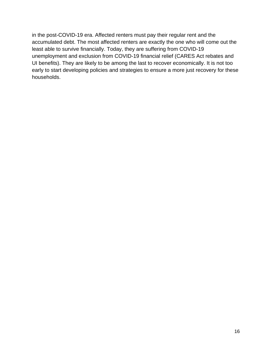in the post-COVID-19 era. Affected renters must pay their regular rent and the accumulated debt. The most affected renters are exactly the one who will come out the least able to survive financially. Today, they are suffering from COVID-19 unemployment and exclusion from COVID-19 financial relief (CARES Act rebates and UI benefits). They are likely to be among the last to recover economically. It is not too early to start developing policies and strategies to ensure a more just recovery for these households.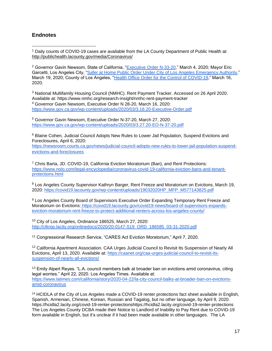#### **Endnotes**

<sup>1</sup> Daily counts of COVID-19 cases are available from the LA County Department of Public Health at: <http://publichealth.lacounty.gov/media/Coronavirus/>

<sup>2</sup> Governor Gavin Newsom, State of California, ["Executive Order N-33-20,](https://covid19.ca.gov/img/Executive-Order-N-33-20.pdf)" March 4, 2020; Mayor Eric Garcetti, Los Angeles City, ["Safer at Home Public Order Under City of Los Angeles Emergency Authority,](https://www.lamayor.org/sites/g/files/wph446/f/page/file/SaferAtHomeAPR10.pdf)" March 19, 2020; County of Los Angeles, ["Health Office Order for the Control of COVID-19,](https://covid19.lacounty.gov/wp-content/uploads/HOO_Safer-at-Home-Order-for-Control-of-COVID_04102020.pdf)" March 16, 2020.

<sup>3</sup> National Multifamily Housing Council (NMHC). Rent Payment Tracker. Accessed on 26 April 2020. Available at: https://www.nmhc.org/research-insight/nmhc-rent-payment-tracker <sup>4</sup> Governor Gavin Newsom, Executive Order N 28-20, March 16, 2020: <https://www.gov.ca.gov/wp-content/uploads/2020/03/3.16.20-Executive-Order.pdf>

<sup>5</sup> Governor Gavin Newsom, Executive Order N-37-20, March 27, 2020: <https://www.gov.ca.gov/wp-content/uploads/2020/03/3.27.20-EO-N-37-20.pdf>

<sup>6</sup> Blaine Cohen, Judicial Council Adopts New Rules to Lower Jail Population, Suspend Evictions and Foreclosures, April 6, 2020:

[https://newsroom.courts.ca.gov/news/judicial-council-adopts-new-rules-to-lower-jail-population-suspend](https://newsroom.courts.ca.gov/news/judicial-council-adopts-new-rules-to-lower-jail-population-suspend-evictions-and-foreclosures)[evictions-and-foreclosures](https://newsroom.courts.ca.gov/news/judicial-council-adopts-new-rules-to-lower-jail-population-suspend-evictions-and-foreclosures)

 $7$  Chris Barta, JD. COVID-19, California Eviction Moratorium (Ban), and Rent Protections: [https://www.nolo.com/legal-encyclopedia/coronavirus-covid-19-california-eviction-bans-and-tenant](https://www.nolo.com/legal-encyclopedia/coronavirus-covid-19-california-eviction-bans-and-tenant-protections.html)[protections.html](https://www.nolo.com/legal-encyclopedia/coronavirus-covid-19-california-eviction-bans-and-tenant-protections.html)

<sup>8</sup> Los Angeles County Supervisor Kathryn Barger, Rent Freeze and Moratorium on Evictions, March 19, 2020: [https://covid19.lacounty.gov/wp-content/uploads/19032020HP\\_MFP\\_M577143825.pdf](https://covid19.lacounty.gov/wp-content/uploads/19032020HP_MFP_M577143825.pdf)

<sup>9</sup> Los Angeles County Board of Supervisors Executive Order Expanding Temporary Rent Freeze and Moratorium on Evictions: [https://covid19.lacounty.gov/covid19-news/board-of-supervisors-expands](https://covid19.lacounty.gov/covid19-news/board-of-supervisors-expands-eviction-moratorium-rent-freeze-to-protect-additional-renters-across-los-angeles-county/)[eviction-moratorium-rent-freeze-to-protect-additional-renters-across-los-angeles-county/](https://covid19.lacounty.gov/covid19-news/board-of-supervisors-expands-eviction-moratorium-rent-freeze-to-protect-additional-renters-across-los-angeles-county/)

<sup>10</sup> City of Los Angeles, Ordinance 186525, March 27, 2020: [http://clkrep.lacity.org/onlinedocs/2020/20-0147-S19\\_ORD\\_186585\\_03-31-2020.pdf](http://clkrep.lacity.org/onlinedocs/2020/20-0147-S19_ORD_186585_03-31-2020.pdf)

<sup>11</sup> Congressional Research Service, "CARES Act Eviction Moratorium," April 7, 2020.

<sup>12</sup> California Apartment Association. CAA Urges Judicial Council to Revisit Its Suspension of Nearly All Evictions, April 13, 2020. Available at[:](https://caanet.org/caa-urges-judicial-council-to-revisit-its-suspension-of-nearly-all-evictions/) [https://caanet.org/caa-urges-judicial-council-to-revisit-its](https://caanet.org/caa-urges-judicial-council-to-revisit-its-suspension-of-nearly-all-evictions/)[suspension-of-nearly-all-evictions/](https://caanet.org/caa-urges-judicial-council-to-revisit-its-suspension-of-nearly-all-evictions/)

<sup>13</sup> Emily Alpert Reyes. "L.A. council members balk at broader ban on evictions amid coronavirus, citing legal worries." April 22, 2020. Los Angeles Times. Available at: [https://www.latimes.com/california/story/2020-04-22/la-city-council-balks-at-broader-ban-on-evictions](https://www.latimes.com/california/story/2020-04-22/la-city-council-balks-at-broader-ban-on-evictions-amid-coronavirus)[amid-coronavirus](https://www.latimes.com/california/story/2020-04-22/la-city-council-balks-at-broader-ban-on-evictions-amid-coronavirus)

<sup>14</sup> HCIDLA of the City of Los Angeles made a COVID-19 renter protections fact sheet available in English, Spanish, Armenian, Chinese, Korean, Russian and Tagalog, but no other language, by April 9, 2020. https://hcidla2.lacity.org/covid-19-renter-protectionshttps://hcidla2.lacity.org/covid-19-renter-protections The Los Angeles County DCBA made their Notice to Landlord of Inability to Pay Rent due to COVID-19 form available in English, but it's unclear if it had been made available in other languages. The LA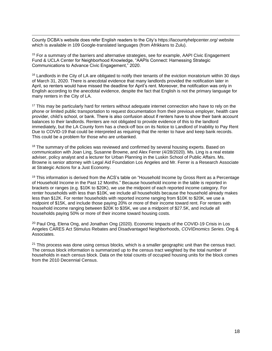County DCBA's website does refer English readers to the City's https://lacountyhelpcenter.org/ website which is available in 109 Google-translated languages (from Afrikkans to Zulu).

<sup>15</sup> For a summary of the barriers and alternative strategies, see for example, AAPI Civic Engagement Fund & UCLA Center for Neighborhood Knowledge, "AAPIs Connect: Harnessing Strategic Communications to Advance Civic Engagement," 2020.

<sup>16</sup> Landlords in the City of LA are obligated to notify their tenants of the eviction moratorium within 30 days of March 31, 2020. There is anecdotal evidence that many landlords provided the notification later in April, so renters would have missed the deadline for April's rent. Moreover, the notification was only in English according to the anecdotal evidence, despite the fact that English is not the primary language for many renters in the City of LA.

<sup>17</sup> This may be particularly hard for renters without adequate internet connection who have to rely on the phone or limited public transportation to request documentation from their previous employer, health care provider, child's school, or bank. There is also confusion about if renters have to show their bank account balances to their landlords. Renters are not obligated to provide evidence of this to the landlord immediately, but the LA County form has a check-off box on its Notice to Landlord of Inability to Pay Rent Due to COVID-19 that could be interpreted as requiring that the renter to have and keep bank records. This could be a problem for those who are unbanked.

<sup>18</sup> The summary of the policies was reviewed and confirmed by several housing experts. Based on communication with Joan Ling, Susanne Browne, and Alex Ferrer (4/28/2020). Ms. Ling is a real estate adviser, policy analyst and a lecturer for Urban Planning in the Luskin School of Public Affairs. Ms. Browne is senior attorney with Legal Aid Foundation Los Angeles and Mr. Ferrer is a Research Associate at Strategic Actions for a Just Economy.

<sup>19</sup> This information is derived from the ACS's table on "Household Income by Gross Rent as a Percentage of Household Income in the Past 12 Months." Because household income in the table is reported in brackets or ranges (e.g. \$10K to \$20K), we use the midpoint of each reported income category. For renter households with less than \$10K, we include all households because the household already makes less than \$12K. For renter households with reported income ranging from \$10K to \$20K, we use a midpoint of \$15K, and include those paying 20% or more of their income toward rent. For renters with household income ranging between \$20K to \$35K, we use a midpoint of \$27.5K, and include all households paying 50% or more of their income toward housing costs.

<sup>20</sup> Paul Ong, Elena Ong, and Jonathan Ong (2020). Economic Impacts of the COVID-19 Crisis in Los Angeles CARES Act Stimulus Rebates and Disadvantaged Neighborhoods, *COVIDnomics Series*. Ong & Associates.

 $21$  This process was done using census blocks, which is a smaller geographic unit than the census tract. The census block information is summarized up to the census tract weighted by the total number of households in each census block. Data on the total counts of occupied housing units for the block comes from the 2010 Decennial Census.